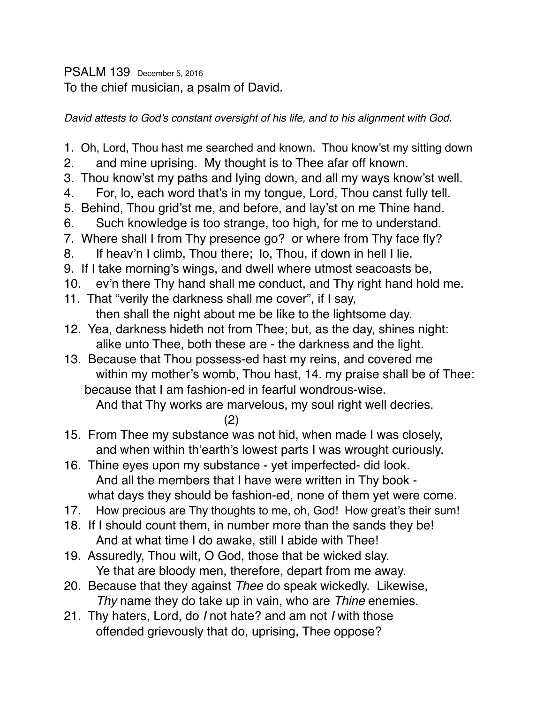PSALM 139 December 5, 2016 To the chief musician, a psalm of David.

*David attests to God's constant oversight of his life, and to his alignment with God*.

- 1. Oh, Lord, Thou hast me searched and known. Thou know'st my sitting down
- 2. and mine uprising. My thought is to Thee afar off known.
- 3. Thou know'st my paths and lying down, and all my ways know'st well.
- 4. For, lo, each word that's in my tongue, Lord, Thou canst fully tell.
- 5. Behind, Thou grid'st me, and before, and lay'st on me Thine hand.
- 6. Such knowledge is too strange, too high, for me to understand.
- 7. Where shall I from Thy presence go? or where from Thy face fly?
- 8. If heav'n I climb, Thou there; lo, Thou, if down in hell I lie.
- 9. If I take morning's wings, and dwell where utmost seacoasts be,
- 10. ev'n there Thy hand shall me conduct, and Thy right hand hold me.
- 11. That "verily the darkness shall me cover", if I say, then shall the night about me be like to the lightsome day.
- 12. Yea, darkness hideth not from Thee; but, as the day, shines night: alike unto Thee, both these are - the darkness and the light.
- 13. Because that Thou possess-ed hast my reins, and covered me within my mother's womb, Thou hast, 14. my praise shall be of Thee: because that I am fashion-ed in fearful wondrous-wise.

And that Thy works are marvelous, my soul right well decries.

## (2)

- 15. From Thee my substance was not hid, when made I was closely, and when within th'earth's lowest parts I was wrought curiously.
- 16. Thine eyes upon my substance yet imperfected- did look. And all the members that I have were written in Thy book what days they should be fashion-ed, none of them yet were come.
- 17. How precious are Thy thoughts to me, oh, God! How great's their sum!
- 18. If I should count them, in number more than the sands they be! And at what time I do awake, still I abide with Thee!
- 19. Assuredly, Thou wilt, O God, those that be wicked slay. Ye that are bloody men, therefore, depart from me away.
- 20. Because that they against *Thee* do speak wickedly. Likewise, *Thy* name they do take up in vain, who are *Thine* enemies.
- 21. Thy haters, Lord, do *I* not hate? and am not *I* with those offended grievously that do, uprising, Thee oppose?